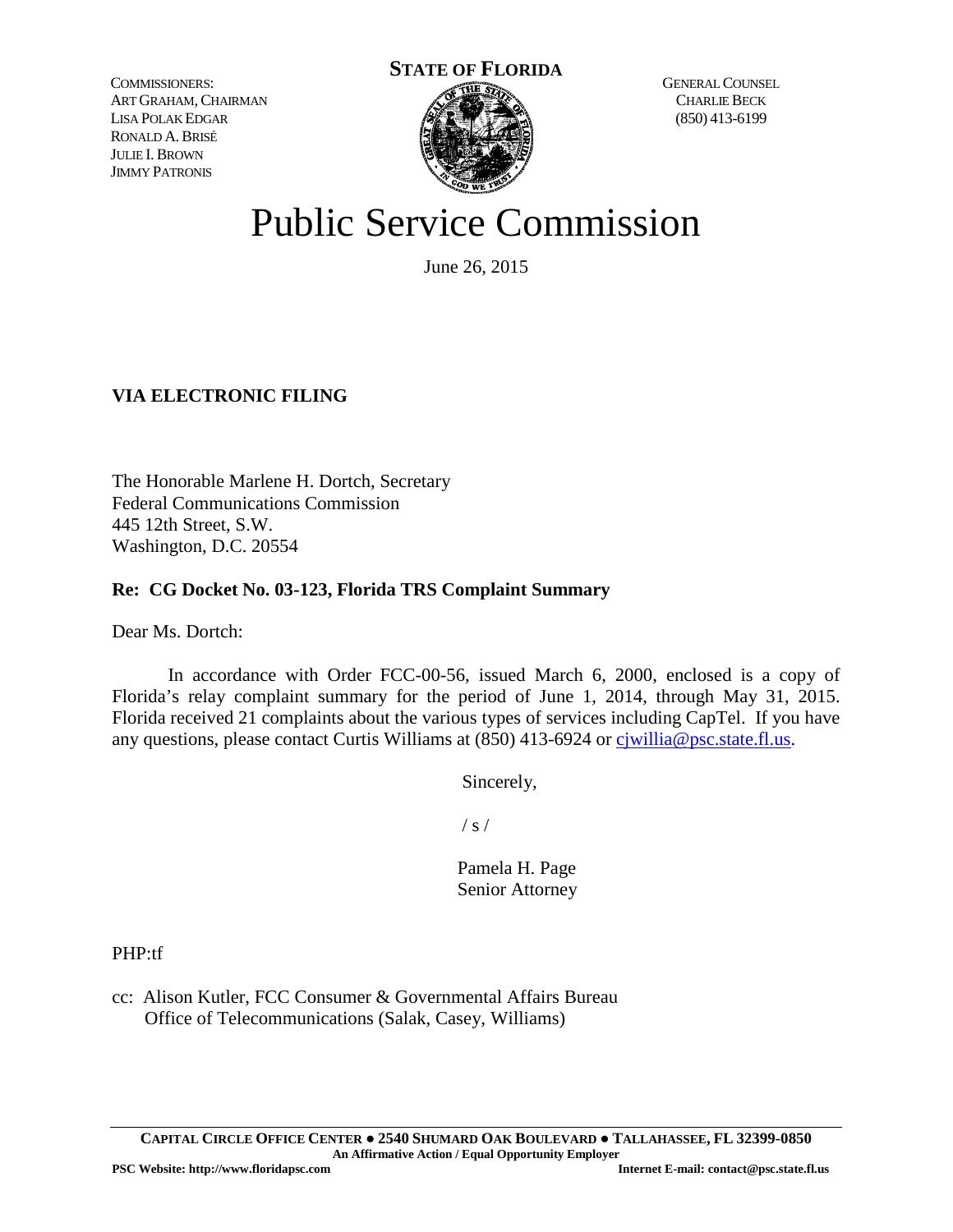COMMISSIONERS: ART GRAHAM,CHAIRMAN LISA POLAK EDGAR RONALD A.BRISÉ JULIE I.BROWN JIMMY PATRONIS



GENERAL COUNSEL CHARLIE BECK (850) 413-6199

# Public Service Commission

June 26, 2015

### **VIA ELECTRONIC FILING**

The Honorable Marlene H. Dortch, Secretary Federal Communications Commission 445 12th Street, S.W. Washington, D.C. 20554

#### **Re: CG Docket No. 03-123, Florida TRS Complaint Summary**

Dear Ms. Dortch:

In accordance with Order FCC-00-56, issued March 6, 2000, enclosed is a copy of Florida's relay complaint summary for the period of June 1, 2014, through May 31, 2015. Florida received 21 complaints about the various types of services including CapTel. If you have any questions, please contact Curtis Williams at (850) 413-6924 or ciwillia@psc.state.fl.us.

Sincerely,

 $/ s /$ 

 Pamela H. Page Senior Attorney

PHP:tf

cc: Alison Kutler, FCC Consumer & Governmental Affairs Bureau Office of Telecommunications (Salak, Casey, Williams)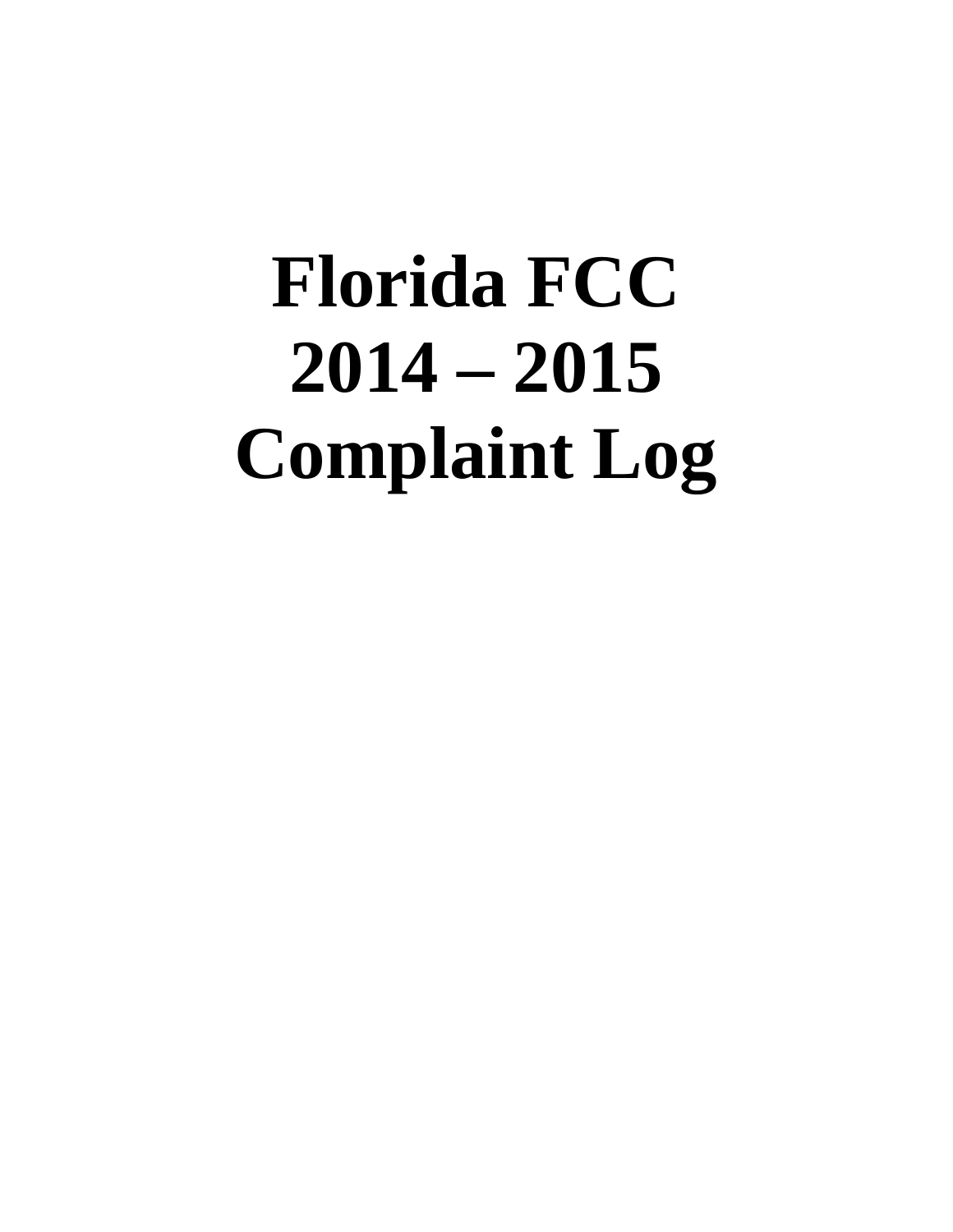# **Florida FCC 2014 – 2015 Complaint Log**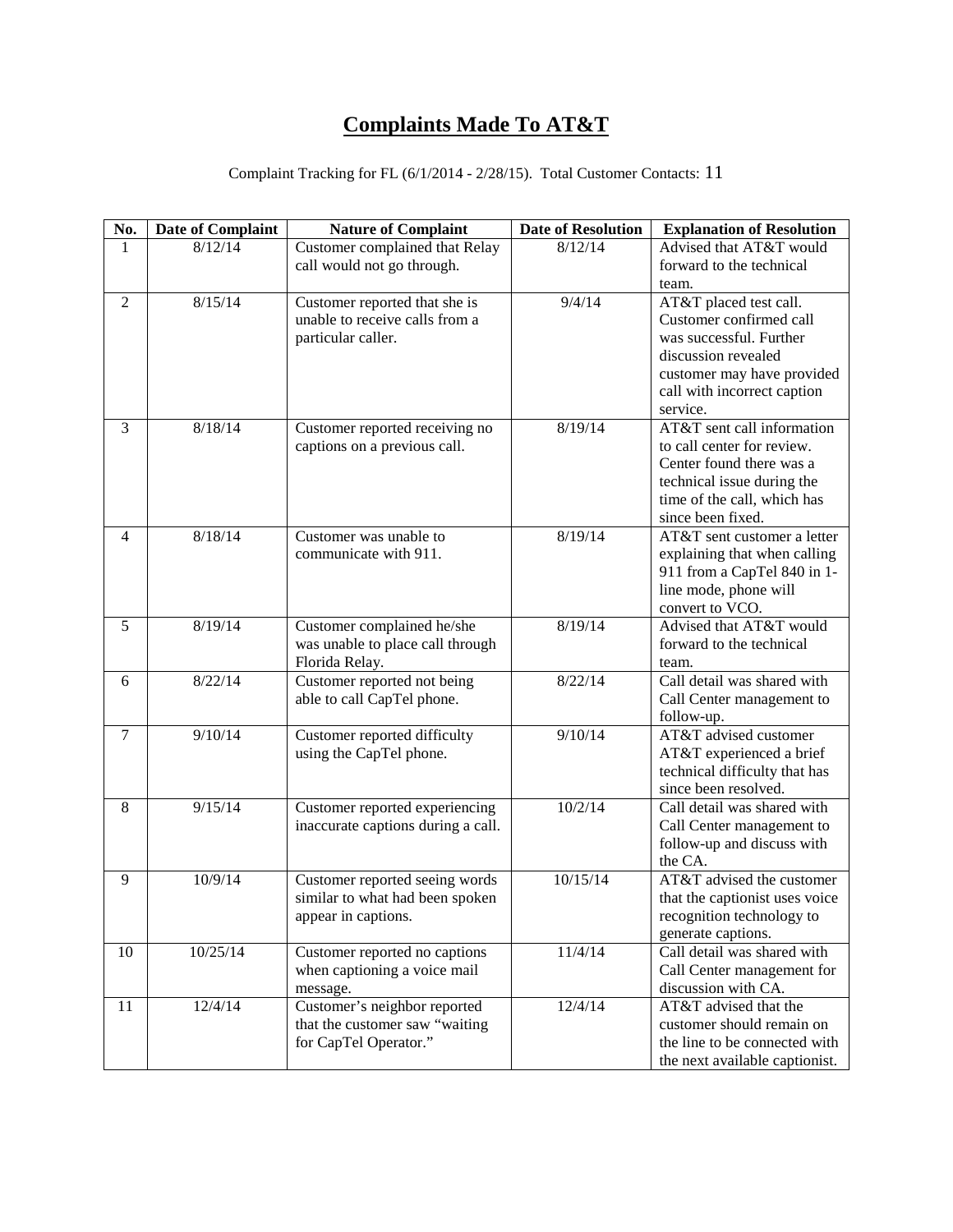# **Complaints Made To AT&T**

| No.            | <b>Date of Complaint</b> | <b>Nature of Complaint</b>         | <b>Date of Resolution</b> | <b>Explanation of Resolution</b>                            |
|----------------|--------------------------|------------------------------------|---------------------------|-------------------------------------------------------------|
| $\mathbf{1}$   | 8/12/14                  | Customer complained that Relay     | 8/12/14                   | Advised that AT&T would                                     |
|                |                          | call would not go through.         |                           | forward to the technical                                    |
|                |                          |                                    |                           | team.                                                       |
| $\overline{2}$ | 8/15/14                  | Customer reported that she is      | 9/4/14                    | AT&T placed test call.                                      |
|                |                          | unable to receive calls from a     |                           | Customer confirmed call                                     |
|                |                          | particular caller.                 |                           | was successful. Further                                     |
|                |                          |                                    |                           | discussion revealed                                         |
|                |                          |                                    |                           | customer may have provided                                  |
|                |                          |                                    |                           | call with incorrect caption                                 |
|                |                          |                                    |                           | service.                                                    |
| 3              | 8/18/14                  | Customer reported receiving no     | 8/19/14                   | AT&T sent call information                                  |
|                |                          | captions on a previous call.       |                           | to call center for review.                                  |
|                |                          |                                    |                           | Center found there was a                                    |
|                |                          |                                    |                           | technical issue during the<br>time of the call, which has   |
|                |                          |                                    |                           | since been fixed.                                           |
| 4              | 8/18/14                  | Customer was unable to             | 8/19/14                   | AT&T sent customer a letter                                 |
|                |                          | communicate with 911.              |                           | explaining that when calling                                |
|                |                          |                                    |                           | 911 from a CapTel 840 in 1-                                 |
|                |                          |                                    |                           | line mode, phone will                                       |
|                |                          |                                    |                           | convert to VCO.                                             |
| 5              | 8/19/14                  | Customer complained he/she         | 8/19/14                   | Advised that AT&T would                                     |
|                |                          | was unable to place call through   |                           | forward to the technical                                    |
|                |                          | Florida Relay.                     |                           | team.                                                       |
| 6              | 8/22/14                  | Customer reported not being        | 8/22/14                   | Call detail was shared with                                 |
|                |                          | able to call CapTel phone.         |                           | Call Center management to                                   |
|                |                          |                                    |                           | follow-up.                                                  |
| $\tau$         | 9/10/14                  | Customer reported difficulty       | 9/10/14                   | AT&T advised customer                                       |
|                |                          | using the CapTel phone.            |                           | AT&T experienced a brief                                    |
|                |                          |                                    |                           | technical difficulty that has                               |
|                |                          |                                    |                           | since been resolved.                                        |
| 8              | 9/15/14                  | Customer reported experiencing     | 10/2/14                   | Call detail was shared with                                 |
|                |                          | inaccurate captions during a call. |                           | Call Center management to                                   |
|                |                          |                                    |                           | follow-up and discuss with                                  |
|                |                          |                                    |                           | the CA.                                                     |
| 9              | 10/9/14                  | Customer reported seeing words     | 10/15/14                  | AT&T advised the customer                                   |
|                |                          | similar to what had been spoken    |                           | that the captionist uses voice<br>recognition technology to |
|                |                          | appear in captions.                |                           |                                                             |
| 10             | 10/25/14                 | Customer reported no captions      | 11/4/14                   | generate captions.<br>Call detail was shared with           |
|                |                          | when captioning a voice mail       |                           | Call Center management for                                  |
|                |                          | message.                           |                           | discussion with CA.                                         |
| 11             | 12/4/14                  | Customer's neighbor reported       | 12/4/14                   | AT&T advised that the                                       |
|                |                          | that the customer saw "waiting     |                           | customer should remain on                                   |
|                |                          | for CapTel Operator."              |                           | the line to be connected with                               |
|                |                          |                                    |                           | the next available captionist.                              |

#### Complaint Tracking for FL (6/1/2014 - 2/28/15). Total Customer Contacts: 11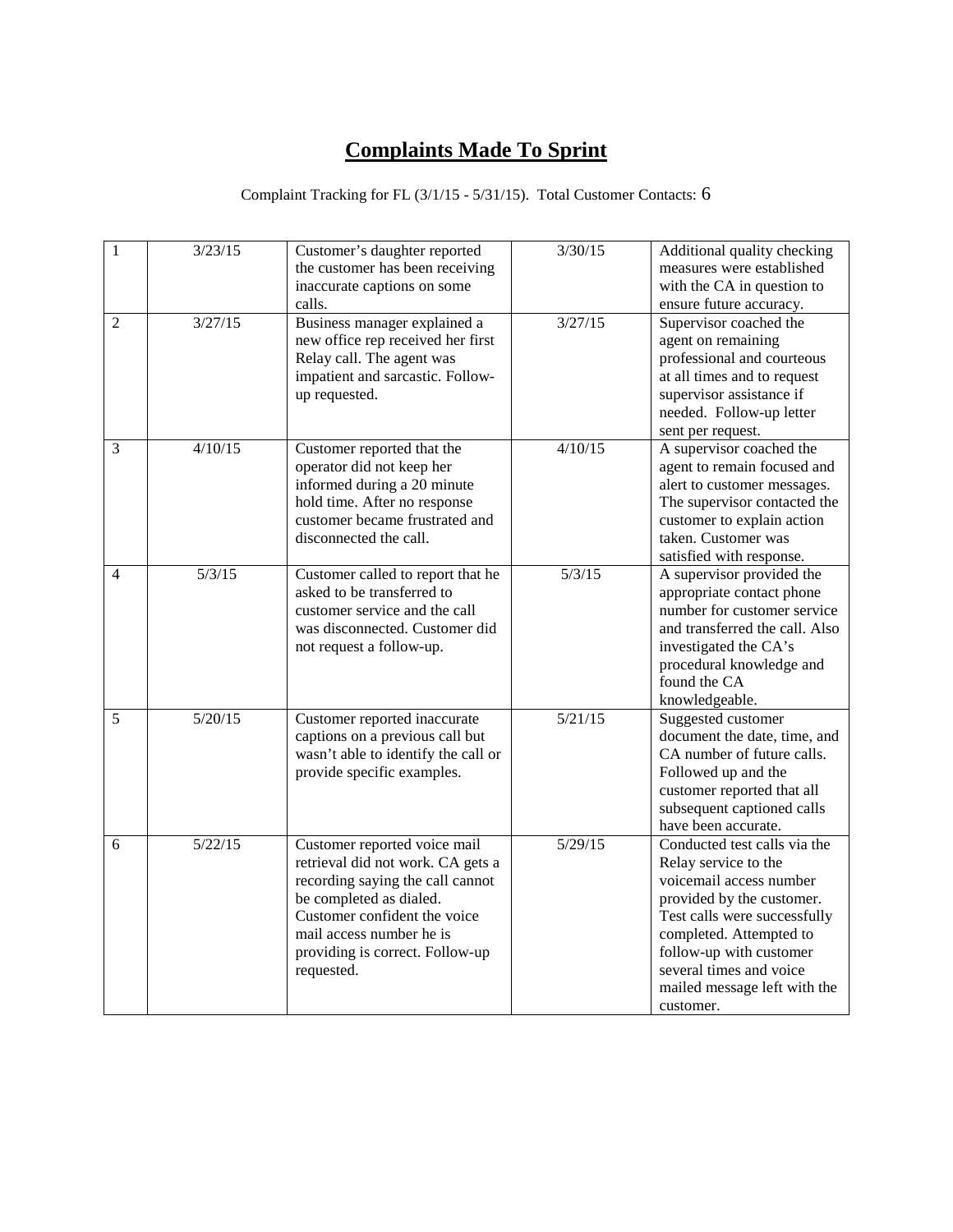# **Complaints Made To Sprint**

#### Complaint Tracking for FL (3/1/15 - 5/31/15). Total Customer Contacts: 6

| $1\,$          | 3/23/15 | Customer's daughter reported<br>the customer has been receiving<br>inaccurate captions on some<br>calls.                                                                                                                                      | 3/30/15 | Additional quality checking<br>measures were established<br>with the CA in question to<br>ensure future accuracy.                                                                                                                                                          |
|----------------|---------|-----------------------------------------------------------------------------------------------------------------------------------------------------------------------------------------------------------------------------------------------|---------|----------------------------------------------------------------------------------------------------------------------------------------------------------------------------------------------------------------------------------------------------------------------------|
| $\overline{2}$ | 3/27/15 | Business manager explained a<br>new office rep received her first<br>Relay call. The agent was<br>impatient and sarcastic. Follow-<br>up requested.                                                                                           | 3/27/15 | Supervisor coached the<br>agent on remaining<br>professional and courteous<br>at all times and to request<br>supervisor assistance if<br>needed. Follow-up letter<br>sent per request.                                                                                     |
| 3              | 4/10/15 | Customer reported that the<br>operator did not keep her<br>informed during a 20 minute<br>hold time. After no response<br>customer became frustrated and<br>disconnected the call.                                                            | 4/10/15 | A supervisor coached the<br>agent to remain focused and<br>alert to customer messages.<br>The supervisor contacted the<br>customer to explain action<br>taken. Customer was<br>satisfied with response.                                                                    |
| $\overline{4}$ | 5/3/15  | Customer called to report that he<br>asked to be transferred to<br>customer service and the call<br>was disconnected. Customer did<br>not request a follow-up.                                                                                | 5/3/15  | A supervisor provided the<br>appropriate contact phone<br>number for customer service<br>and transferred the call. Also<br>investigated the CA's<br>procedural knowledge and<br>found the CA<br>knowledgeable.                                                             |
| 5              | 5/20/15 | Customer reported inaccurate<br>captions on a previous call but<br>wasn't able to identify the call or<br>provide specific examples.                                                                                                          | 5/21/15 | Suggested customer<br>document the date, time, and<br>CA number of future calls.<br>Followed up and the<br>customer reported that all<br>subsequent captioned calls<br>have been accurate.                                                                                 |
| 6              | 5/22/15 | Customer reported voice mail<br>retrieval did not work. CA gets a<br>recording saying the call cannot<br>be completed as dialed.<br>Customer confident the voice<br>mail access number he is<br>providing is correct. Follow-up<br>requested. | 5/29/15 | Conducted test calls via the<br>Relay service to the<br>voicemail access number<br>provided by the customer.<br>Test calls were successfully<br>completed. Attempted to<br>follow-up with customer<br>several times and voice<br>mailed message left with the<br>customer. |